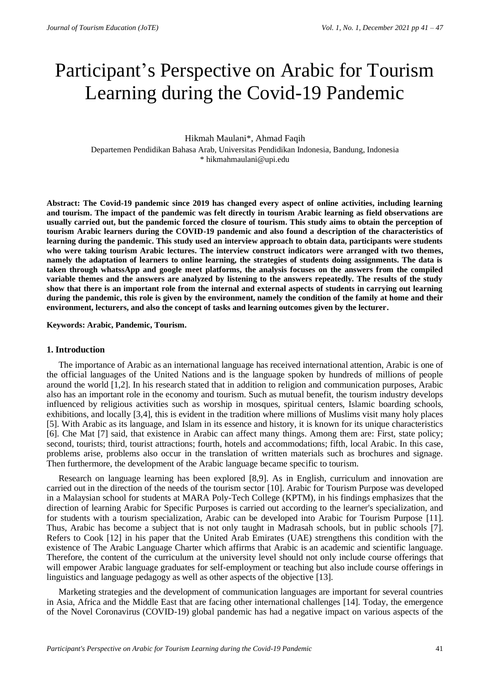# Participant's Perspective on Arabic for Tourism Learning during the Covid-19 Pandemic

#### Hikmah Maulani\*, Ahmad Faqih

Departemen Pendidikan Bahasa Arab, Universitas Pendidikan Indonesia, Bandung, Indonesia \* hikmahmaulani@upi.edu

**Abstract: The Covid-19 pandemic since 2019 has changed every aspect of online activities, including learning and tourism. The impact of the pandemic was felt directly in tourism Arabic learning as field observations are**  usually carried out, but the pandemic forced the closure of tourism. This study aims to obtain the perception of **tourism Arabic learners during the COVID-19 pandemic and also found a description of the characteristics of learning during the pandemic. This study used an interview approach to obtain data, participants were students who were taking tourism Arabic lectures. The interview construct indicators were arranged with two themes, namely the adaptation of learners to online learning, the strategies of students doing assignments. The data is taken through whatssApp and google meet platforms, the analysis focuses on the answers from the compiled variable themes and the answers are analyzed by listening to the answers repeatedly. The results of the study show that there is an important role from the internal and external aspects of students in carrying out learning during the pandemic, this role is given by the environment, namely the condition of the family at home and their environment, lecturers, and also the concept of tasks and learning outcomes given by the lecturer.**

**Keywords: Arabic, Pandemic, Tourism.**

#### **1. Introduction**

The importance of Arabic as an international language has received international attention, Arabic is one of the official languages of the United Nations and is the language spoken by hundreds of millions of people around the world [1,2]. In his research stated that in addition to religion and communication purposes, Arabic also has an important role in the economy and tourism. Such as mutual benefit, the tourism industry develops influenced by religious activities such as worship in mosques, spiritual centers, Islamic boarding schools, exhibitions, and locally [3,4], this is evident in the tradition where millions of Muslims visit many holy places [5]. With Arabic as its language, and Islam in its essence and history, it is known for its unique characteristics [6]. Che Mat [7] said, that existence in Arabic can affect many things. Among them are: First, state policy; second, tourists; third, tourist attractions; fourth, hotels and accommodations; fifth, local Arabic. In this case, problems arise, problems also occur in the translation of written materials such as brochures and signage. Then furthermore, the development of the Arabic language became specific to tourism.

Research on language learning has been explored [8,9]. As in English, curriculum and innovation are carried out in the direction of the needs of the tourism sector [10]. Arabic for Tourism Purpose was developed in a Malaysian school for students at MARA Poly-Tech College (KPTM), in his findings emphasizes that the direction of learning Arabic for Specific Purposes is carried out according to the learner's specialization, and for students with a tourism specialization, Arabic can be developed into Arabic for Tourism Purpose [11]. Thus, Arabic has become a subject that is not only taught in Madrasah schools, but in public schools [7]. Refers to Cook [12] in his paper that the United Arab Emirates (UAE) strengthens this condition with the existence of The Arabic Language Charter which affirms that Arabic is an academic and scientific language. Therefore, the content of the curriculum at the university level should not only include course offerings that will empower Arabic language graduates for self-employment or teaching but also include course offerings in linguistics and language pedagogy as well as other aspects of the objective [13].

Marketing strategies and the development of communication languages are important for several countries in Asia, Africa and the Middle East that are facing other international challenges [14]. Today, the emergence of the Novel Coronavirus (COVID-19) global pandemic has had a negative impact on various aspects of the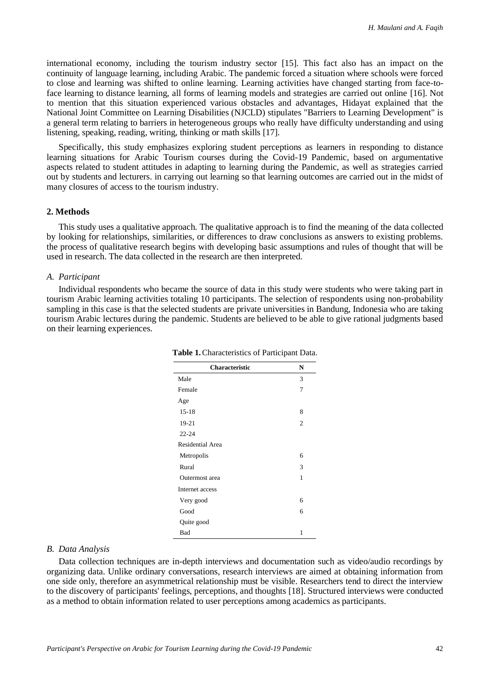international economy, including the tourism industry sector [15]. This fact also has an impact on the continuity of language learning, including Arabic. The pandemic forced a situation where schools were forced to close and learning was shifted to online learning. Learning activities have changed starting from face-toface learning to distance learning, all forms of learning models and strategies are carried out online [16]. Not to mention that this situation experienced various obstacles and advantages, Hidayat explained that the National Joint Committee on Learning Disabilities (NJCLD) stipulates "Barriers to Learning Development" is a general term relating to barriers in heterogeneous groups who really have difficulty understanding and using listening, speaking, reading, writing, thinking or math skills [17].

Specifically, this study emphasizes exploring student perceptions as learners in responding to distance learning situations for Arabic Tourism courses during the Covid-19 Pandemic, based on argumentative aspects related to student attitudes in adapting to learning during the Pandemic, as well as strategies carried out by students and lecturers. in carrying out learning so that learning outcomes are carried out in the midst of many closures of access to the tourism industry.

### **2. Methods**

This study uses a qualitative approach. The qualitative approach is to find the meaning of the data collected by looking for relationships, similarities, or differences to draw conclusions as answers to existing problems. the process of qualitative research begins with developing basic assumptions and rules of thought that will be used in research. The data collected in the research are then interpreted.

#### *A. Participant*

Individual respondents who became the source of data in this study were students who were taking part in tourism Arabic learning activities totaling 10 participants. The selection of respondents using non-probability sampling in this case is that the selected students are private universities in Bandung, Indonesia who are taking tourism Arabic lectures during the pandemic. Students are believed to be able to give rational judgments based on their learning experiences.

| <b>Characteristic</b>   | N              |
|-------------------------|----------------|
| Male                    | 3              |
| Female                  | 7              |
| Age                     |                |
| $15 - 18$               | 8              |
| 19-21                   | $\overline{2}$ |
| $22 - 24$               |                |
| <b>Residential Area</b> |                |
| Metropolis              | 6              |
| Rural                   | 3              |
| Outermost area          | 1              |
| Internet access         |                |
| Very good               | 6              |
| Good                    | 6              |
| Quite good              |                |
| Bad                     | $\mathbf{1}$   |

**Table 1.**Characteristics of Participant Data.

#### *B. Data Analysis*

Data collection techniques are in-depth interviews and documentation such as video/audio recordings by organizing data. Unlike ordinary conversations, research interviews are aimed at obtaining information from one side only, therefore an asymmetrical relationship must be visible. Researchers tend to direct the interview to the discovery of participants' feelings, perceptions, and thoughts [18]. Structured interviews were conducted as a method to obtain information related to user perceptions among academics as participants.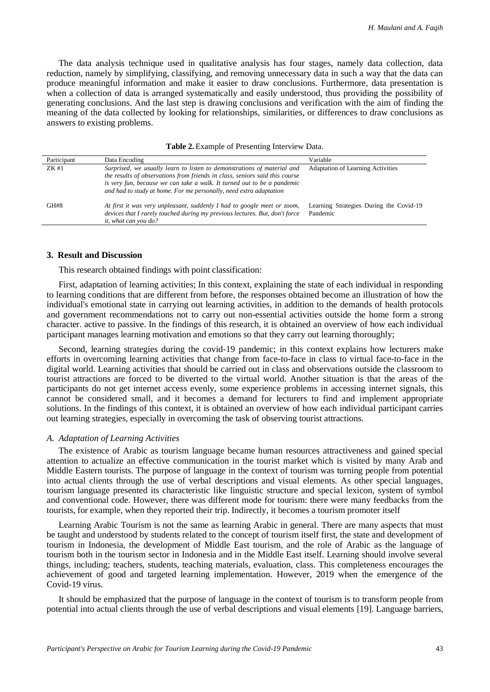The data analysis technique used in qualitative analysis has four stages, namely data collection, data reduction, namely by simplifying, classifying, and removing unnecessary data in such a way that the data can produce meaningful information and make it easier to draw conclusions. Furthermore, data presentation is when a collection of data is arranged systematically and easily understood, thus providing the possibility of generating conclusions. And the last step is drawing conclusions and verification with the aim of finding the meaning of the data collected by looking for relationships, similarities, or differences to draw conclusions as answers to existing problems.

| Participant | Data Encoding                                                                                                                                                                                                                                                                                           | Variable                                            |
|-------------|---------------------------------------------------------------------------------------------------------------------------------------------------------------------------------------------------------------------------------------------------------------------------------------------------------|-----------------------------------------------------|
| ZK#1        | Surprised, we usually learn to listen to demonstrations of material and<br>the results of observations from friends in class, seniors said this course<br>is very fun, because we can take a walk. It turned out to be a pandemic<br>and had to study at home. For me personally, need extra adaptation | <b>Adaptation of Learning Activities</b>            |
| GH#8        | At first it was very unpleasant, suddenly I had to google meet or zoom,<br>devices that I rarely touched during my previous lectures. But, don't force<br><i>it, what can you do?</i>                                                                                                                   | Learning Strategies During the Covid-19<br>Pandemic |

#### **3. Result and Discussion**

This research obtained findings with point classification:

First, adaptation of learning activities; In this context, explaining the state of each individual in responding to learning conditions that are different from before, the responses obtained become an illustration of how the individual's emotional state in carrying out learning activities, in addition to the demands of health protocols and government recommendations not to carry out non-essential activities outside the home form a strong character. active to passive. In the findings of this research, it is obtained an overview of how each individual participant manages learning motivation and emotions so that they carry out learning thoroughly;

Second, learning strategies during the covid-19 pandemic; in this context explains how lecturers make efforts in overcoming learning activities that change from face-to-face in class to virtual face-to-face in the digital world. Learning activities that should be carried out in class and observations outside the classroom to tourist attractions are forced to be diverted to the virtual world. Another situation is that the areas of the participants do not get internet access evenly, some experience problems in accessing internet signals, this cannot be considered small, and it becomes a demand for lecturers to find and implement appropriate solutions. In the findings of this context, it is obtained an overview of how each individual participant carries out learning strategies, especially in overcoming the task of observing tourist attractions.

#### *A. Adaptation of Learning Activities*

The existence of Arabic as tourism language became human resources attractiveness and gained special attention to actualize an effective communication in the tourist market which is visited by many Arab and Middle Eastern tourists. The purpose of language in the context of tourism was turning people from potential into actual clients through the use of verbal descriptions and visual elements. As other special languages, tourism language presented its characteristic like linguistic structure and special lexicon, system of symbol and conventional code. However, there was different mode for tourism: there were many feedbacks from the tourists, for example, when they reported their trip. Indirectly, it becomes a tourism promoter itself

Learning Arabic Tourism is not the same as learning Arabic in general. There are many aspects that must be taught and understood by students related to the concept of tourism itself first, the state and development of tourism in Indonesia, the development of Middle East tourism, and the role of Arabic as the language of tourism both in the tourism sector in Indonesia and in the Middle East itself. Learning should involve several things, including; teachers, students, teaching materials, evaluation, class. This completeness encourages the achievement of good and targeted learning implementation. However, 2019 when the emergence of the Covid-19 virus.

It should be emphasized that the purpose of language in the context of tourism is to transform people from potential into actual clients through the use of verbal descriptions and visual elements [19]. Language barriers,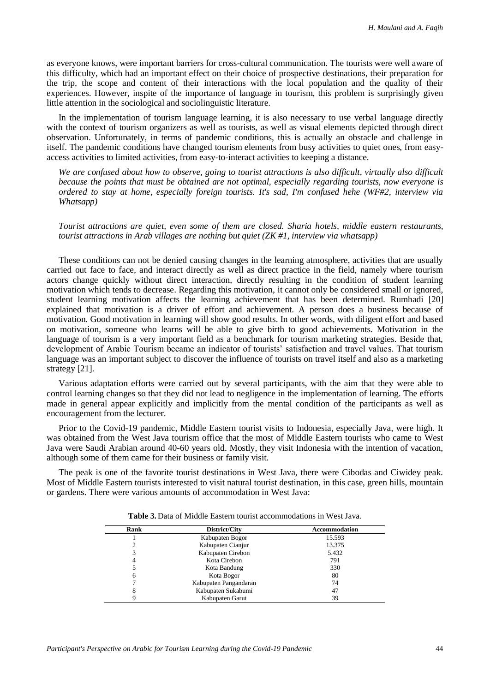as everyone knows, were important barriers for cross-cultural communication. The tourists were well aware of this difficulty, which had an important effect on their choice of prospective destinations, their preparation for the trip, the scope and content of their interactions with the local population and the quality of their experiences. However, inspite of the importance of language in tourism, this problem is surprisingly given little attention in the sociological and sociolinguistic literature.

In the implementation of tourism language learning, it is also necessary to use verbal language directly with the context of tourism organizers as well as tourists, as well as visual elements depicted through direct observation. Unfortunately, in terms of pandemic conditions, this is actually an obstacle and challenge in itself. The pandemic conditions have changed tourism elements from busy activities to quiet ones, from easyaccess activities to limited activities, from easy-to-interact activities to keeping a distance.

*We are confused about how to observe, going to tourist attractions is also difficult, virtually also difficult because the points that must be obtained are not optimal, especially regarding tourists, now everyone is ordered to stay at home, especially foreign tourists. It's sad, I'm confused hehe (WF#2, interview via Whatsapp)*

*Tourist attractions are quiet, even some of them are closed. Sharia hotels, middle eastern restaurants, tourist attractions in Arab villages are nothing but quiet (ZK #1, interview via whatsapp)*

These conditions can not be denied causing changes in the learning atmosphere, activities that are usually carried out face to face, and interact directly as well as direct practice in the field, namely where tourism actors change quickly without direct interaction, directly resulting in the condition of student learning motivation which tends to decrease. Regarding this motivation, it cannot only be considered small or ignored, student learning motivation affects the learning achievement that has been determined. Rumhadi [20] explained that motivation is a driver of effort and achievement. A person does a business because of motivation. Good motivation in learning will show good results. In other words, with diligent effort and based on motivation, someone who learns will be able to give birth to good achievements. Motivation in the language of tourism is a very important field as a benchmark for tourism marketing strategies. Beside that, development of Arabic Tourism became an indicator of tourists' satisfaction and travel values. That tourism language was an important subject to discover the influence of tourists on travel itself and also as a marketing strategy [21].

Various adaptation efforts were carried out by several participants, with the aim that they were able to control learning changes so that they did not lead to negligence in the implementation of learning. The efforts made in general appear explicitly and implicitly from the mental condition of the participants as well as encouragement from the lecturer.

Prior to the Covid-19 pandemic, Middle Eastern tourist visits to Indonesia, especially Java, were high. It was obtained from the West Java tourism office that the most of Middle Eastern tourists who came to West Java were Saudi Arabian around 40-60 years old. Mostly, they visit Indonesia with the intention of vacation, although some of them came for their business or family visit.

The peak is one of the favorite tourist destinations in West Java, there were Cibodas and Ciwidey peak. Most of Middle Eastern tourists interested to visit natural tourist destination, in this case, green hills, mountain or gardens. There were various amounts of accommodation in West Java:

| Rank | District/City         | <b>Accommodation</b> |  |
|------|-----------------------|----------------------|--|
|      | Kabupaten Bogor       | 15.593               |  |
|      | Kabupaten Cianjur     | 13.375               |  |
| 3    | Kabupaten Cirebon     | 5.432                |  |
|      | Kota Cirebon          | 791                  |  |
|      | Kota Bandung          | 330                  |  |
| 6    | Kota Bogor            | 80                   |  |
|      | Kabupaten Pangandaran | 74                   |  |
| 8    | Kabupaten Sukabumi    | 47                   |  |
|      | Kabupaten Garut       | 39                   |  |

**Table 3.** Data of Middle Eastern tourist accommodations in West Java.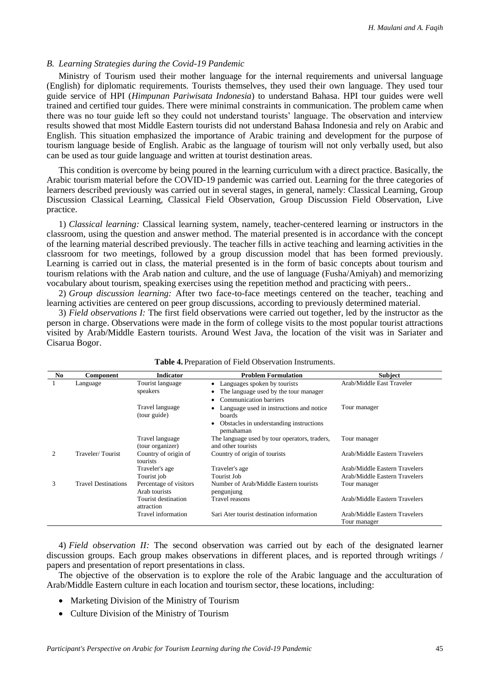## *B. Learning Strategies during the Covid-19 Pandemic*

Ministry of Tourism used their mother language for the internal requirements and universal language (English) for diplomatic requirements. Tourists themselves, they used their own language. They used tour guide service of HPI (*Himpunan Pariwisata Indonesia*) to understand Bahasa. HPI tour guides were well trained and certified tour guides. There were minimal constraints in communication. The problem came when there was no tour guide left so they could not understand tourists' language. The observation and interview results showed that most Middle Eastern tourists did not understand Bahasa Indonesia and rely on Arabic and English. This situation emphasized the importance of Arabic training and development for the purpose of tourism language beside of English. Arabic as the language of tourism will not only verbally used, but also can be used as tour guide language and written at tourist destination areas.

This condition is overcome by being poured in the learning curriculum with a direct practice. Basically, the Arabic tourism material before the COVID-19 pandemic was carried out. Learning for the three categories of learners described previously was carried out in several stages, in general, namely: Classical Learning, Group Discussion Classical Learning, Classical Field Observation, Group Discussion Field Observation, Live practice.

1) *Classical learning:* Classical learning system, namely, teacher-centered learning or instructors in the classroom, using the question and answer method. The material presented is in accordance with the concept of the learning material described previously. The teacher fills in active teaching and learning activities in the classroom for two meetings, followed by a group discussion model that has been formed previously. Learning is carried out in class, the material presented is in the form of basic concepts about tourism and tourism relations with the Arab nation and culture, and the use of language (Fusha/Amiyah) and memorizing vocabulary about tourism, speaking exercises using the repetition method and practicing with peers..

2) *Group discussion learning:* After two face-to-face meetings centered on the teacher, teaching and learning activities are centered on peer group discussions, according to previously determined material.

3) *Field observations I:* The first field observations were carried out together, led by the instructor as the person in charge. Observations were made in the form of college visits to the most popular tourist attractions visited by Arab/Middle Eastern tourists. Around West Java, the location of the visit was in Sariater and Cisarua Bogor.

| No.                         | Component                  | <b>Indicator</b>                        | <b>Problem Formulation</b>                                          | <b>Subject</b>                                |
|-----------------------------|----------------------------|-----------------------------------------|---------------------------------------------------------------------|-----------------------------------------------|
|                             | Language                   | Tourist language<br>speakers            | Languages spoken by tourists                                        | Arab/Middle East Traveler                     |
|                             |                            |                                         | The language used by the tour manager<br>Communication barriers     |                                               |
|                             |                            | Travel language<br>(tour guide)         | Language used in instructions and notice<br>boards                  | Tour manager                                  |
|                             |                            |                                         | Obstacles in understanding instructions<br>pemahaman                |                                               |
|                             |                            | Travel language<br>(tour organizer)     | The language used by tour operators, traders,<br>and other tourists | Tour manager                                  |
| $\mathcal{D}_{\mathcal{L}}$ | Traveler/Tourist           | Country of origin of<br>tourists        | Country of origin of tourists                                       | Arab/Middle Eastern Travelers                 |
|                             |                            | Traveler's age                          | Traveler's age                                                      | Arab/Middle Eastern Travelers                 |
|                             |                            | Tourist job                             | Tourist Job                                                         | Arab/Middle Eastern Travelers                 |
| 3                           | <b>Travel Destinations</b> | Percentage of visitors<br>Arab tourists | Number of Arab/Middle Eastern tourists<br>pengunjung                | Tour manager                                  |
|                             |                            | Tourist destination<br>attraction       | Travel reasons                                                      | Arab/Middle Eastern Travelers                 |
|                             |                            | Travel information                      | Sari Ater tourist destination information                           | Arab/Middle Eastern Travelers<br>Tour manager |

| Table 4. Preparation of Field Observation Instruments. |  |
|--------------------------------------------------------|--|
|--------------------------------------------------------|--|

4) *Field observation II:* The second observation was carried out by each of the designated learner discussion groups. Each group makes observations in different places, and is reported through writings / papers and presentation of report presentations in class.

The objective of the observation is to explore the role of the Arabic language and the acculturation of Arab/Middle Eastern culture in each location and tourism sector, these locations, including:

- Marketing Division of the Ministry of Tourism
- Culture Division of the Ministry of Tourism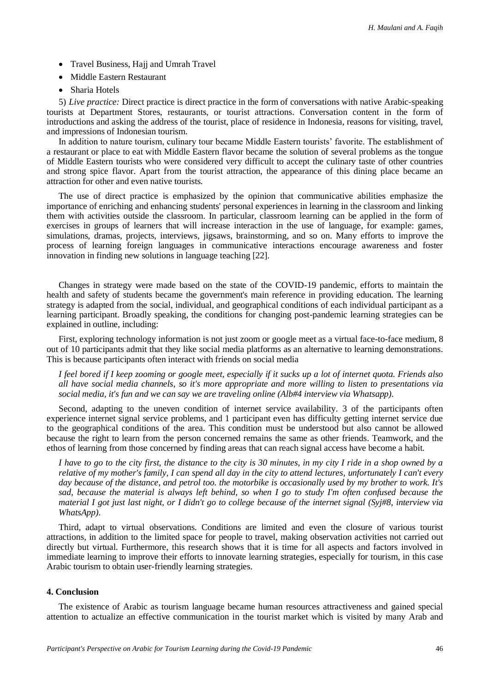- Travel Business, Hajj and Umrah Travel
- Middle Eastern Restaurant
- Sharia Hotels

5) *Live practice:* Direct practice is direct practice in the form of conversations with native Arabic-speaking tourists at Department Stores, restaurants, or tourist attractions. Conversation content in the form of introductions and asking the address of the tourist, place of residence in Indonesia, reasons for visiting, travel, and impressions of Indonesian tourism.

In addition to nature tourism, culinary tour became Middle Eastern tourists' favorite. The establishment of a restaurant or place to eat with Middle Eastern flavor became the solution of several problems as the tongue of Middle Eastern tourists who were considered very difficult to accept the culinary taste of other countries and strong spice flavor. Apart from the tourist attraction, the appearance of this dining place became an attraction for other and even native tourists.

The use of direct practice is emphasized by the opinion that communicative abilities emphasize the importance of enriching and enhancing students' personal experiences in learning in the classroom and linking them with activities outside the classroom. In particular, classroom learning can be applied in the form of exercises in groups of learners that will increase interaction in the use of language, for example: games, simulations, dramas, projects, interviews, jigsaws, brainstorming, and so on. Many efforts to improve the process of learning foreign languages in communicative interactions encourage awareness and foster innovation in finding new solutions in language teaching [22].

Changes in strategy were made based on the state of the COVID-19 pandemic, efforts to maintain the health and safety of students became the government's main reference in providing education. The learning strategy is adapted from the social, individual, and geographical conditions of each individual participant as a learning participant. Broadly speaking, the conditions for changing post-pandemic learning strategies can be explained in outline, including:

First, exploring technology information is not just zoom or google meet as a virtual face-to-face medium, 8 out of 10 participants admit that they like social media platforms as an alternative to learning demonstrations. This is because participants often interact with friends on social media

*I feel bored if I keep zooming or google meet, especially if it sucks up a lot of internet quota. Friends also all have social media channels, so it's more appropriate and more willing to listen to presentations via social media, it's fun and we can say we are traveling online (Alb#4 interview via Whatsapp).*

Second, adapting to the uneven condition of internet service availability. 3 of the participants often experience internet signal service problems, and 1 participant even has difficulty getting internet service due to the geographical conditions of the area. This condition must be understood but also cannot be allowed because the right to learn from the person concerned remains the same as other friends. Teamwork, and the ethos of learning from those concerned by finding areas that can reach signal access have become a habit.

*I have to go to the city first, the distance to the city is 30 minutes, in my city I ride in a shop owned by a relative of my mother's family, I can spend all day in the city to attend lectures, unfortunately I can't every day because of the distance, and petrol too. the motorbike is occasionally used by my brother to work. It's sad, because the material is always left behind, so when I go to study I'm often confused because the material I got just last night, or I didn't go to college because of the internet signal (Syj#8, interview via WhatsApp).*

Third, adapt to virtual observations. Conditions are limited and even the closure of various tourist attractions, in addition to the limited space for people to travel, making observation activities not carried out directly but virtual. Furthermore, this research shows that it is time for all aspects and factors involved in immediate learning to improve their efforts to innovate learning strategies, especially for tourism, in this case Arabic tourism to obtain user-friendly learning strategies.

## **4. Conclusion**

The existence of Arabic as tourism language became human resources attractiveness and gained special attention to actualize an effective communication in the tourist market which is visited by many Arab and